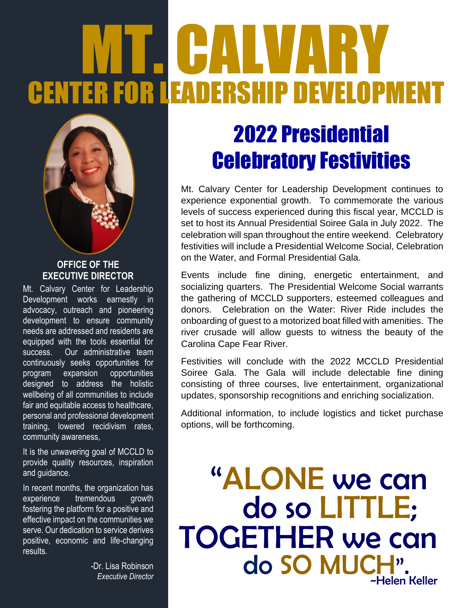# **HALV** CENTER FOR LEADERSHIP DEVELOPMENT



#### **OFFICE OF THE EXECUTIVE DIRECTOR**

Mt. Calvary Center for Leadership Development works earnestly in advocacy, outreach and pioneering development to ensure community needs are addressed and residents are equipped with the tools essential for success. Our administrative team continuously seeks opportunities for program expansion opportunities designed to address the holistic wellbeing of all communities to include fair and equitable access to healthcare, personal and professional development training, lowered recidivism rates, community awareness,

It is the unwavering goal of MCCLD to provide quality resources, inspiration and guidance.

In recent months, the organization has experience tremendous growth fostering the platform for a positive and effective impact on the communities we serve. Our dedication to service derives positive, economic and life-changing results.

> -Dr. Lisa Robinson *Executive Director*

## 2022 Presidential Celebratory Festivities

Mt. Calvary Center for Leadership Development continues to experience exponential growth. To commemorate the various levels of success experienced during this fiscal year, MCCLD is set to host its Annual Presidential Soiree Gala in July 2022. The celebration will span throughout the entire weekend. Celebratory festivities will include a Presidential Welcome Social, Celebration on the Water, and Formal Presidential Gala.

Events include fine dining, energetic entertainment, and socializing quarters. The Presidential Welcome Social warrants the gathering of MCCLD supporters, esteemed colleagues and donors. Celebration on the Water: River Ride includes the onboarding of guest to a motorized boat filled with amenities. The river crusade will allow guests to witness the beauty of the Carolina Cape Fear River.

Festivities will conclude with the 2022 MCCLD Presidential Soiree Gala. The Gala will include delectable fine dining consisting of three courses, live entertainment, organizational updates, sponsorship recognitions and enriching socialization.

Additional information, to include logistics and ticket purchase options, will be forthcoming.

"ALONE we can TOGETHER we can do do SO MUCH". ~Helen Keller do so LITTLE;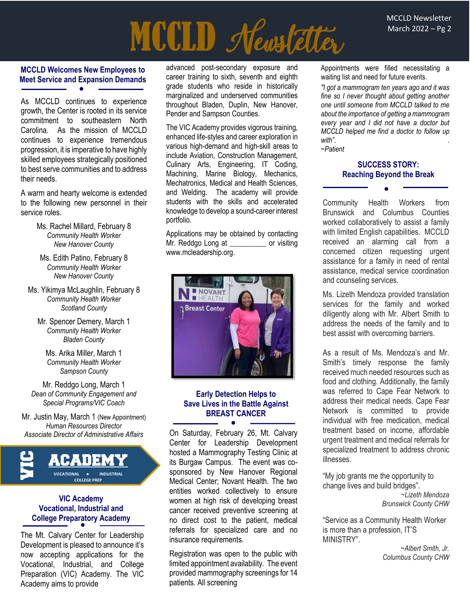# MCCLD Newsletter

#### **MCCLD Welcomes New Employees to Meet Service and Expansion Demands**  $\bullet$

As MCCLD continues to experience growth, the Center is rooted in its service commitment to southeastern North Carolina. As the mission of MCCLD continues to experience tremendous progression, it is imperative to have highly skilled employees strategically positioned to best serve communities and to address their needs.

A warm and hearty welcome is extended to the following new personnel in their service roles.

- Ms. Rachel Millard, February 8 *Community Health Worker New Hanover County*
- Ms. Edith Patino, February 8 *Community Health Worker New Hanover County*
- Ms. Yikimya McLaughlin, February 8 *Community Health Worker Scotland County*
	- Mr. Spencer Demery, March 1 *Community Health Worker Bladen County*

Ms. Arika Miller, March 1 *Community Health Worker Sampson County*

Mr. Reddgo Long, March 1 *Dean of Community Engagement and Special Programs/VIC Coach*

Mr. Justin May, March 1 (New Appointment) *Human Resources Director Associate Director of Administrative Affairs*



#### **VIC Academy Vocational, Industrial and College Preparatory Academy** ●

The Mt. Calvary Center for Leadership Development is pleased to announce it's now accepting applications for the Vocational, Industrial, and College Preparation (VIC) Academy. The VIC Academy aims to provide

advanced post-secondary exposure and career training to sixth, seventh and eighth grade students who reside in historically marginalized and underserved communities throughout Bladen, Duplin, New Hanover, Pender and Sampson Counties.

The VIC Academy provides vigorous training, enhanced life-styles and career exploration in various high-demand and high-skill areas to include Aviation, Construction Management, Culinary Arts, Engineering, IT Coding, Machining, Marine Biology, Mechanics, Mechatronics, Medical and Health Sciences, and Welding. The academy will provide students with the skills and accelerated knowledge to develop a sound-career interest portfolio.

Applications may be obtained by contacting Mr. Reddgo Long at **or** visiting [www.mcleadership.org.](http://www.mcleadership.org/)



#### **Early Detection Helps to Save Lives in the Battle Against BREAST CANCER** ●

On Saturday, February 26, Mt. Calvary Center for Leadership Development hosted a Mammography Testing Clinic at its Burgaw Campus. The event was cosponsored by New Hanover Regional Medical Center; Novant Health. The two entities worked collectively to ensure women at high risk of developing breast cancer received preventive screening at no direct cost to the patient, medical referrals for specialized care and no insurance requirements.

Registration was open to the public with limited appointment availability. The event provided mammography screenings for 14 patients. All screening

Appointments were filled necessitating a waiting list and need for future events.

*"I got a mammogram ten years ago and it was fine so I never thought about getting another one until someone from MCCLD talked to me about the importance of getting a mammogram every year and I did not have a doctor but MCCLD helped me find a doctor to follow up with". . ~Patient*

#### **SUCCESS STORY: Reaching Beyond the Break**

●

Community Health Workers from Brunswick and Columbus Counties worked collaboratively to assist a family with limited English capabilities. MCCLD received an alarming call from a concerned citizen requesting urgent assistance for a family in need of rental assistance, medical service coordination and counseling services.

Ms. Lizeth Mendoza provided translation services for the family and worked diligently along with Mr. Albert Smith to address the needs of the family and to best assist with overcoming barriers.

As a result of Ms. Mendoza's and Mr. Smith's timely response the family received much needed resources such as food and clothing. Additionally, the family was referred to Cape Fear Network to address their medical needs. Cape Fear Network is committed to provide individual with free medication, medical treatment based on income, affordable urgent treatment and medical referrals for specialized treatment to address chronic illnesses.

"My job grants me the opportunity to change lives and build bridges".

*~Lizeth Mendoza Brunswick County CHW*

"Service as a Community Health Worker is more than a profession, IT'S MINISTRY".

> *~Albert Smith, Jr. Columbus County CHW*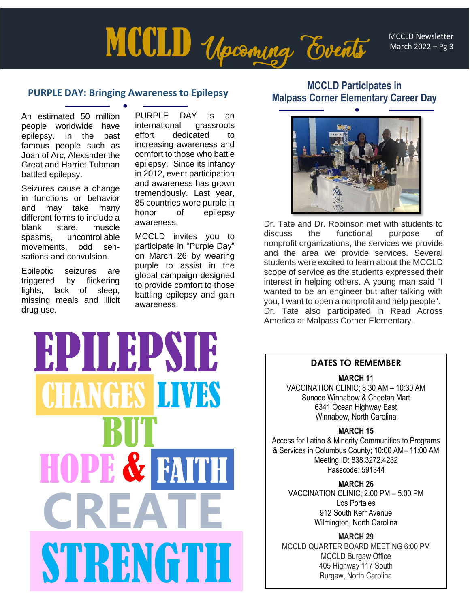MCCLD Newsletter March 2022 – Pg 3

# **MCCLD** Upcoming Events

#### **PURPLE DAY: Bringing Awareness to Epilepsy**

An estimated 50 million people worldwide have epilepsy. In the past famous people such as Joan of Arc, Alexander the Great and Harriet Tubman battled epilepsy. ●

Seizures cause a change in functions or behavior and may take many different forms to include a blank stare, muscle spasms, uncontrollable movements, odd sensations and convulsion.

Epileptic seizures are triggered by flickering lights, lack of sleep, missing meals and illicit drug use.

PURPLE DAY is an international grassroots effort dedicated to increasing awareness and comfort to those who battle epilepsy. Since its infancy in 2012, event participation and awareness has grown tremendously. Last year, 85 countries wore purple in honor of epilepsy awareness.

MCCLD invites you to participate in "Purple Day" on March 26 by wearing purple to assist in the global campaign designed to provide comfort to those battling epilepsy and gain awareness.

### **MCCLD Participates in Malpass Corner Elementary Career Day**



Dr. Tate and Dr. Robinson met with students to discuss the functional purpose of nonprofit organizations, the services we provide and the area we provide services. Several students were excited to learn about the MCCLD scope of service as the students expressed their interest in helping others. A young man said "I wanted to be an engineer but after talking with you, I want to open a nonprofit and help people". Dr. Tate also participated in Read Across America at Malpass Corner Elementary.

# EPILEPSIE CHANGES LIVES BUT HOPE & FAITH **CREATE**  STRENGTH

#### **DATES TO REMEMBER**

**MARCH 11**

VACCINATION CLINIC; 8:30 AM – 10:30 AM Sunoco Winnabow & Cheetah Mart 6341 Ocean Highway East Winnabow, North Carolina

**MARCH 15**

Access for Latino & Minority Communities to Programs & Services in Columbus County; 10:00 AM– 11:00 AM Meeting ID: 838.3272.4232 Passcode: 591344

**MARCH 26** VACCINATION CLINIC; 2:00 PM – 5:00 PM Los Portales 912 South Kerr Avenue Wilmington, North Carolina

**MARCH 29** MCCLD QUARTER BOARD MEETING 6:00 PM MCCLD Burgaw Office 405 Highway 117 South Burgaw, North Carolina